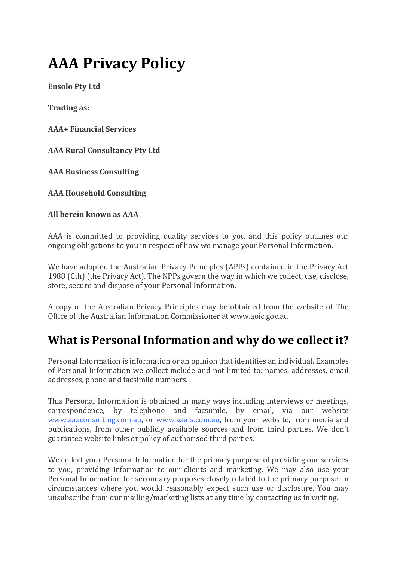# **AAA Privacy Policy**

**Ensolo Pty Ltd**

**Trading as:**

**AAA+ Financial Services**

**AAA Rural Consultancy Pty Ltd**

**AAA Business Consulting**

**AAA Household Consulting** 

**All herein known as AAA**

AAA is committed to providing quality services to you and this policy outlines our ongoing obligations to you in respect of how we manage your Personal Information.

We have adopted the Australian Privacy Principles (APPs) contained in the Privacy Act 1988 (Cth) (the Privacy Act). The NPPs govern the way in which we collect, use, disclose, store, secure and dispose of your Personal Information.

A copy of the Australian Privacy Principles may be obtained from the website of The Office of the Australian Information Commissioner at www.aoic.gov.au

### **What is Personal Information and why do we collect it?**

Personal Information is information or an opinion that identifies an individual. Examples of Personal Information we collect include and not limited to: names, addresses, email addresses, phone and facsimile numbers.

This Personal Information is obtained in many ways including interviews or meetings, correspondence, by telephone and facsimile, by email, via our website [www.aaaconsulting.com.au,](http://www.aaaconsulting.com.au/) or [www.aaafs.com.au,](http://www.aaafs.com.au/) from your website, from media and publications, from other publicly available sources and from third parties. We don't guarantee website links or policy of authorised third parties.

We collect your Personal Information for the primary purpose of providing our services to you, providing information to our clients and marketing. We may also use your Personal Information for secondary purposes closely related to the primary purpose, in circumstances where you would reasonably expect such use or disclosure. You may unsubscribe from our mailing/marketing lists at any time by contacting us in writing.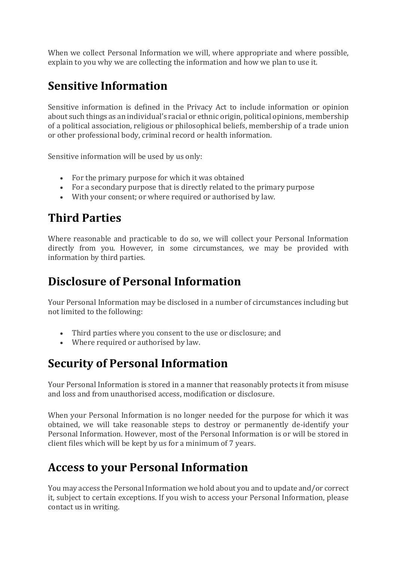When we collect Personal Information we will, where appropriate and where possible, explain to you why we are collecting the information and how we plan to use it.

# **Sensitive Information**

Sensitive information is defined in the Privacy Act to include information or opinion about such things as an individual's racial or ethnic origin, political opinions, membership of a political association, religious or philosophical beliefs, membership of a trade union or other professional body, criminal record or health information.

Sensitive information will be used by us only:

- For the primary purpose for which it was obtained
- For a secondary purpose that is directly related to the primary purpose
- With your consent; or where required or authorised by law.

# **Third Parties**

Where reasonable and practicable to do so, we will collect your Personal Information directly from you. However, in some circumstances, we may be provided with information by third parties.

# **Disclosure of Personal Information**

Your Personal Information may be disclosed in a number of circumstances including but not limited to the following:

- Third parties where you consent to the use or disclosure; and
- Where required or authorised by law.

### **Security of Personal Information**

Your Personal Information is stored in a manner that reasonably protects it from misuse and loss and from unauthorised access, modification or disclosure.

When your Personal Information is no longer needed for the purpose for which it was obtained, we will take reasonable steps to destroy or permanently de-identify your Personal Information. However, most of the Personal Information is or will be stored in client files which will be kept by us for a minimum of 7 years.

# **Access to your Personal Information**

You may access the Personal Information we hold about you and to update and/or correct it, subject to certain exceptions. If you wish to access your Personal Information, please contact us in writing.